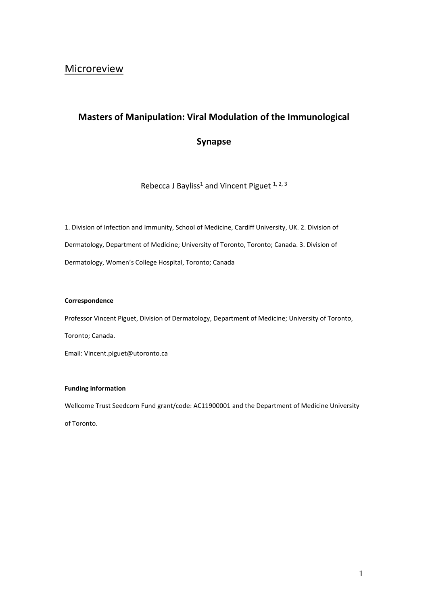# **Masters of Manipulation: Viral Modulation of the Immunological**

# **Synapse**

Rebecca J Bayliss<sup>1</sup> and Vincent Piguet  $1, 2, 3$ 

1. Division of Infection and Immunity, School of Medicine, Cardiff University, UK. 2. Division of Dermatology, Department of Medicine; University of Toronto, Toronto; Canada. 3. Division of Dermatology, Women's College Hospital, Toronto; Canada

#### **Correspondence**

Professor Vincent Piguet, Division of Dermatology, Department of Medicine; University of Toronto,

Toronto; Canada.

Email: Vincent.piguet@utoronto.ca

#### **Funding information**

Wellcome Trust Seedcorn Fund grant/code: AC11900001 and the Department of Medicine University of Toronto.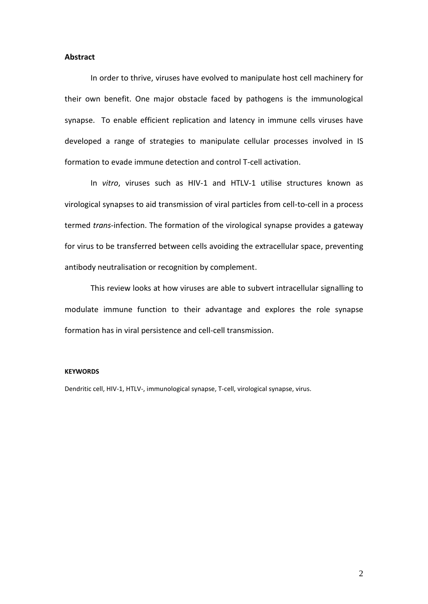# **Abstract**

In order to thrive, viruses have evolved to manipulate host cell machinery for their own benefit. One major obstacle faced by pathogens is the immunological synapse. To enable efficient replication and latency in immune cells viruses have developed a range of strategies to manipulate cellular processes involved in IS formation to evade immune detection and control T-cell activation.

In *vitro*, viruses such as HIV-1 and HTLV-1 utilise structures known as virological synapses to aid transmission of viral particles from cell-to-cell in a process termed *trans*-infection. The formation of the virological synapse provides a gateway for virus to be transferred between cells avoiding the extracellular space, preventing antibody neutralisation or recognition by complement.

This review looks at how viruses are able to subvert intracellular signalling to modulate immune function to their advantage and explores the role synapse formation has in viral persistence and cell-cell transmission.

#### **KEYWORDS**

Dendritic cell, HIV-1, HTLV-, immunological synapse, T-cell, virological synapse, virus.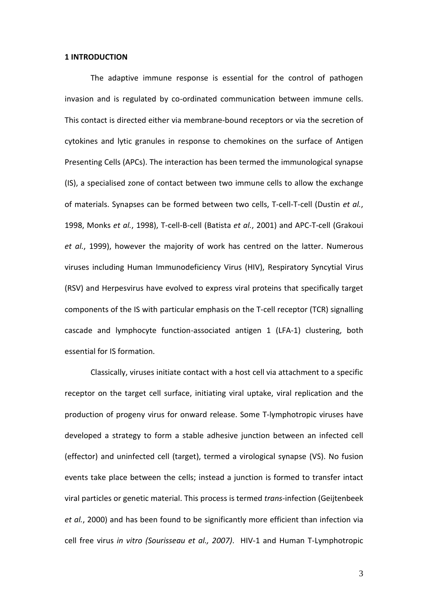# **1 INTRODUCTION**

The adaptive immune response is essential for the control of pathogen invasion and is regulated by co-ordinated communication between immune cells. This contact is directed either via membrane-bound receptors or via the secretion of cytokines and lytic granules in response to chemokines on the surface of Antigen Presenting Cells (APCs). The interaction has been termed the immunological synapse (IS), a specialised zone of contact between two immune cells to allow the exchange of materials. Synapses can be formed between two cells, T-cell-T-cell (Dustin *et al.*, 1998, Monks *et al.*, 1998), T-cell-B-cell (Batista *et al.*, 2001) and APC-T-cell (Grakoui *et al.*, 1999), however the majority of work has centred on the latter. Numerous viruses including Human Immunodeficiency Virus (HIV), Respiratory Syncytial Virus (RSV) and Herpesvirus have evolved to express viral proteins that specifically target components of the IS with particular emphasis on the T-cell receptor (TCR) signalling cascade and lymphocyte function-associated antigen 1 (LFA-1) clustering, both essential for IS formation.

Classically, viruses initiate contact with a host cell via attachment to a specific receptor on the target cell surface, initiating viral uptake, viral replication and the production of progeny virus for onward release. Some T-lymphotropic viruses have developed a strategy to form a stable adhesive junction between an infected cell (effector) and uninfected cell (target), termed a virological synapse (VS). No fusion events take place between the cells; instead a junction is formed to transfer intact viral particles or genetic material. This process is termed *trans*-infection (Geijtenbeek *et al.*, 2000) and has been found to be significantly more efficient than infection via cell free virus *in vitro (Sourisseau et al., 2007)*. HIV-1 and Human T-Lymphotropic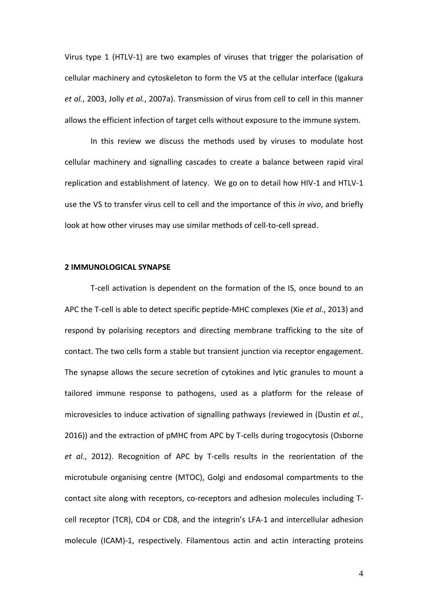Virus type 1 (HTLV-1) are two examples of viruses that trigger the polarisation of cellular machinery and cytoskeleton to form the VS at the cellular interface (Igakura *et al.*, 2003, Jolly *et al.*, 2007a). Transmission of virus from cell to cell in this manner allows the efficient infection of target cells without exposure to the immune system.

In this review we discuss the methods used by viruses to modulate host cellular machinery and signalling cascades to create a balance between rapid viral replication and establishment of latency. We go on to detail how HIV-1 and HTLV-1 use the VS to transfer virus cell to cell and the importance of this *in vivo*, and briefly look at how other viruses may use similar methods of cell-to-cell spread.

#### **2 IMMUNOLOGICAL SYNAPSE**

T-cell activation is dependent on the formation of the IS, once bound to an APC the T-cell is able to detect specific peptide-MHC complexes (Xie *et al.*, 2013) and respond by polarising receptors and directing membrane trafficking to the site of contact. The two cells form a stable but transient junction via receptor engagement. The synapse allows the secure secretion of cytokines and lytic granules to mount a tailored immune response to pathogens, used as a platform for the release of microvesicles to induce activation of signalling pathways (reviewed in (Dustin *et al.*, 2016)) and the extraction of pMHC from APC by T-cells during trogocytosis (Osborne *et al.*, 2012). Recognition of APC by T-cells results in the reorientation of the microtubule organising centre (MTOC), Golgi and endosomal compartments to the contact site along with receptors, co-receptors and adhesion molecules including Tcell receptor (TCR), CD4 or CD8, and the integrin's LFA-1 and intercellular adhesion molecule (ICAM)-1, respectively. Filamentous actin and actin interacting proteins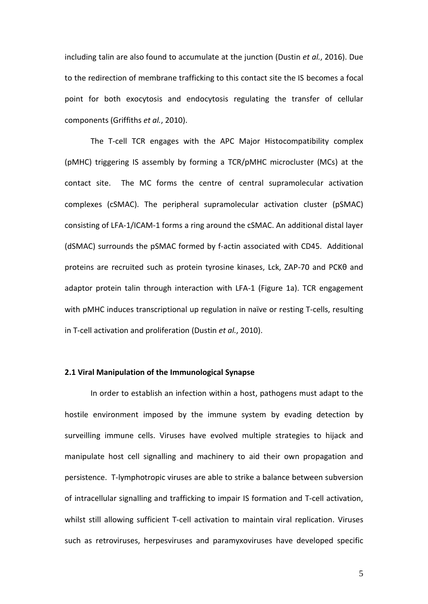including talin are also found to accumulate at the junction (Dustin *et al.*, 2016). Due to the redirection of membrane trafficking to this contact site the IS becomes a focal point for both exocytosis and endocytosis regulating the transfer of cellular components (Griffiths *et al.*, 2010).

The T-cell TCR engages with the APC Major Histocompatibility complex (pMHC) triggering IS assembly by forming a TCR/pMHC microcluster (MCs) at the contact site. The MC forms the centre of central supramolecular activation complexes (cSMAC). The peripheral supramolecular activation cluster (pSMAC) consisting of LFA-1/ICAM-1 forms a ring around the cSMAC. An additional distal layer (dSMAC) surrounds the pSMAC formed by f-actin associated with CD45. Additional proteins are recruited such as protein tyrosine kinases, Lck, ZAP-70 and PCKθ and adaptor protein talin through interaction with LFA-1 (Figure 1a). TCR engagement with pMHC induces transcriptional up regulation in naïve or resting T-cells, resulting in T-cell activation and proliferation (Dustin *et al.*, 2010).

# **2.1 Viral Manipulation of the Immunological Synapse**

In order to establish an infection within a host, pathogens must adapt to the hostile environment imposed by the immune system by evading detection by surveilling immune cells. Viruses have evolved multiple strategies to hijack and manipulate host cell signalling and machinery to aid their own propagation and persistence. T-lymphotropic viruses are able to strike a balance between subversion of intracellular signalling and trafficking to impair IS formation and T-cell activation, whilst still allowing sufficient T-cell activation to maintain viral replication. Viruses such as retroviruses, herpesviruses and paramyxoviruses have developed specific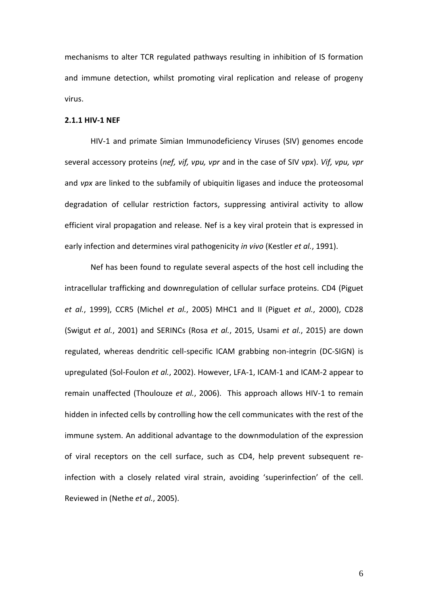mechanisms to alter TCR regulated pathways resulting in inhibition of IS formation and immune detection, whilst promoting viral replication and release of progeny virus.

#### **2.1.1 HIV-1 NEF**

HIV-1 and primate Simian Immunodeficiency Viruses (SIV) genomes encode several accessory proteins (*nef, vif, vpu, vpr* and in the case of SIV *vpx*). *Vif, vpu, vpr*  and *vpx* are linked to the subfamily of ubiquitin ligases and induce the proteosomal degradation of cellular restriction factors, suppressing antiviral activity to allow efficient viral propagation and release. Nef is a key viral protein that is expressed in early infection and determines viral pathogenicity *in vivo* (Kestler *et al.*, 1991).

Nef has been found to regulate several aspects of the host cell including the intracellular trafficking and downregulation of cellular surface proteins. CD4 (Piguet *et al.*, 1999), CCR5 (Michel *et al.*, 2005) MHC1 and II (Piguet *et al.*, 2000), CD28 (Swigut *et al.*, 2001) and SERINCs (Rosa *et al.*, 2015, Usami *et al.*, 2015) are down regulated, whereas dendritic cell-specific ICAM grabbing non-integrin (DC-SIGN) is upregulated (Sol-Foulon *et al.*, 2002). However, LFA-1, ICAM-1 and ICAM-2 appear to remain unaffected (Thoulouze *et al.*, 2006). This approach allows HIV-1 to remain hidden in infected cells by controlling how the cell communicates with the rest of the immune system. An additional advantage to the downmodulation of the expression of viral receptors on the cell surface, such as CD4, help prevent subsequent reinfection with a closely related viral strain, avoiding 'superinfection' of the cell. Reviewed in (Nethe *et al.*, 2005).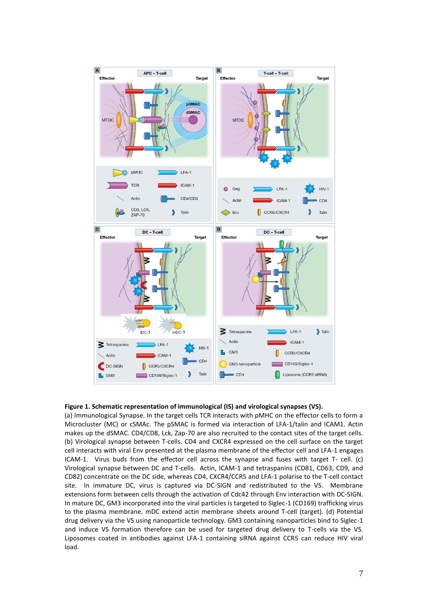

#### **Figure 1. Schematic representation of immunological (IS) and virological synapses (VS).**

(a) Immunological Synapse. In the target cells TCR interacts with pMHC on the effector cells to form a Microcluster (MC) or cSMAc. The pSMAC is formed via interaction of LFA-1/talin and ICAM1. Actin makes up the dSMAC. CD4/CD8, Lck, Zap-70 are also recruited to the contact sites of the target cells. (b) Virological synapse between T-cells. CD4 and CXCR4 expressed on the cell surface on the target cell interacts with viral Env presented at the plasma membrane of the effector cell and LFA-1 engages ICAM-1. Virus buds from the effector cell across the synapse and fuses with target T- cell. (c) Virological synapse between DC and T-cells. Actin, ICAM-1 and tetraspanins (CD81, CD63, CD9, and CD82) concentrate on the DC side, whereas CD4, CXCR4/CCR5 and LFA-1 polarise to the T-cell contact site. In immature DC, virus is captured via DC-SIGN and redistributed to the VS. Membrane extensions form between cells through the activation of Cdc42 through Env interaction with DC-SIGN. In mature DC, GM3 incorporated into the viral particles is targeted to Siglec-1 (CD169) trafficking virus to the plasma membrane. mDC extend actin membrane sheets around T-cell (target). (d) Potential drug delivery via the VS using nanoparticle technology. GM3 containing nanoparticles bind to Siglec-1 and induce VS formation therefore can be used for targeted drug delivery to T-cells via the VS. Liposomes coated in antibodies against LFA-1 containing siRNA against CCR5 can reduce HIV viral load.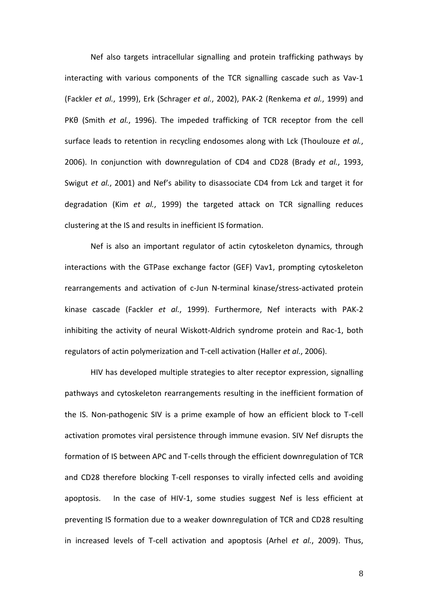Nef also targets intracellular signalling and protein trafficking pathways by interacting with various components of the TCR signalling cascade such as Vav-1 (Fackler *et al.*, 1999), Erk (Schrager *et al.*, 2002), PAK-2 (Renkema *et al.*, 1999) and PKθ (Smith *et al.*, 1996). The impeded trafficking of TCR receptor from the cell surface leads to retention in recycling endosomes along with Lck (Thoulouze *et al.*, 2006). In conjunction with downregulation of CD4 and CD28 (Brady *et al.*, 1993, Swigut *et al.*, 2001) and Nef's ability to disassociate CD4 from Lck and target it for degradation (Kim *et al.*, 1999) the targeted attack on TCR signalling reduces clustering at the IS and results in inefficient IS formation.

Nef is also an important regulator of actin cytoskeleton dynamics, through interactions with the GTPase exchange factor (GEF) Vav1, prompting cytoskeleton rearrangements and activation of c-Jun N-terminal kinase/stress-activated protein kinase cascade (Fackler *et al.*, 1999). Furthermore, Nef interacts with PAK-2 inhibiting the activity of neural Wiskott-Aldrich syndrome protein and Rac-1, both regulators of actin polymerization and T-cell activation (Haller *et al.*, 2006).

HIV has developed multiple strategies to alter receptor expression, signalling pathways and cytoskeleton rearrangements resulting in the inefficient formation of the IS. Non-pathogenic SIV is a prime example of how an efficient block to T-cell activation promotes viral persistence through immune evasion. SIV Nef disrupts the formation of IS between APC and T-cells through the efficient downregulation of TCR and CD28 therefore blocking T-cell responses to virally infected cells and avoiding apoptosis. In the case of HIV-1, some studies suggest Nef is less efficient at preventing IS formation due to a weaker downregulation of TCR and CD28 resulting in increased levels of T-cell activation and apoptosis (Arhel *et al.*, 2009). Thus,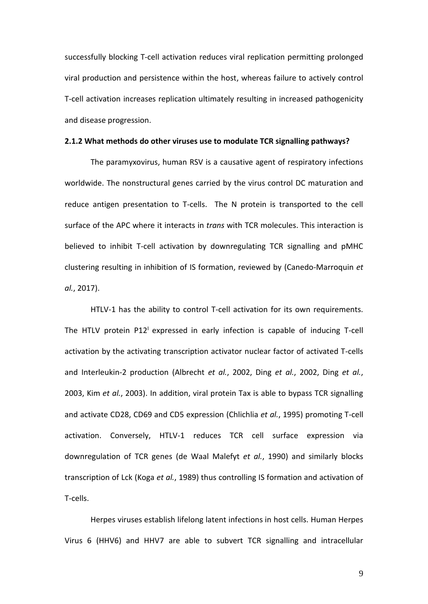successfully blocking T-cell activation reduces viral replication permitting prolonged viral production and persistence within the host, whereas failure to actively control T-cell activation increases replication ultimately resulting in increased pathogenicity and disease progression.

#### **2.1.2 What methods do other viruses use to modulate TCR signalling pathways?**

The paramyxovirus, human RSV is a causative agent of respiratory infections worldwide. The nonstructural genes carried by the virus control DC maturation and reduce antigen presentation to T-cells. The N protein is transported to the cell surface of the APC where it interacts in *trans* with TCR molecules. This interaction is believed to inhibit T-cell activation by downregulating TCR signalling and pMHC clustering resulting in inhibition of IS formation, reviewed by (Canedo-Marroquin *et al.*, 2017).

HTLV-1 has the ability to control T-cell activation for its own requirements. The HTLV protein  $P12^1$  expressed in early infection is capable of inducing T-cell activation by the activating transcription activator nuclear factor of activated T-cells and Interleukin-2 production (Albrecht *et al.*, 2002, Ding *et al.*, 2002, Ding *et al.*, 2003, Kim *et al.*, 2003). In addition, viral protein Tax is able to bypass TCR signalling and activate CD28, CD69 and CD5 expression (Chlichlia *et al.*, 1995) promoting T-cell activation. Conversely, HTLV-1 reduces TCR cell surface expression via downregulation of TCR genes (de Waal Malefyt *et al.*, 1990) and similarly blocks transcription of Lck (Koga *et al.*, 1989) thus controlling IS formation and activation of T-cells.

Herpes viruses establish lifelong latent infections in host cells. Human Herpes Virus 6 (HHV6) and HHV7 are able to subvert TCR signalling and intracellular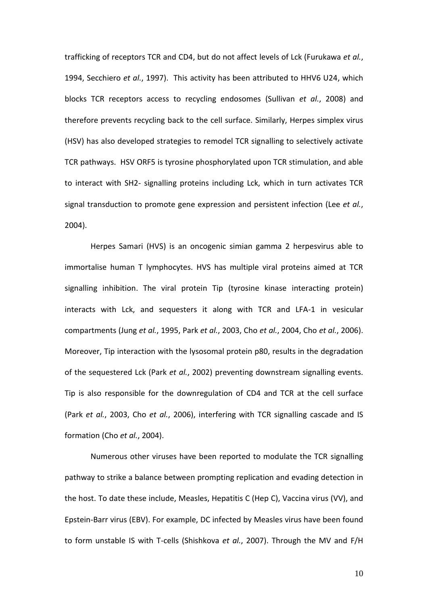trafficking of receptors TCR and CD4, but do not affect levels of Lck (Furukawa *et al.*, 1994, Secchiero *et al.*, 1997). This activity has been attributed to HHV6 U24, which blocks TCR receptors access to recycling endosomes (Sullivan *et al.*, 2008) and therefore prevents recycling back to the cell surface. Similarly, Herpes simplex virus (HSV) has also developed strategies to remodel TCR signalling to selectively activate TCR pathways. HSV ORF5 is tyrosine phosphorylated upon TCR stimulation, and able to interact with SH2- signalling proteins including Lck, which in turn activates TCR signal transduction to promote gene expression and persistent infection (Lee *et al.*, 2004).

Herpes Samari (HVS) is an oncogenic simian gamma 2 herpesvirus able to immortalise human T lymphocytes. HVS has multiple viral proteins aimed at TCR signalling inhibition. The viral protein Tip (tyrosine kinase interacting protein) interacts with Lck, and sequesters it along with TCR and LFA-1 in vesicular compartments (Jung *et al.*, 1995, Park *et al.*, 2003, Cho *et al.*, 2004, Cho *et al.*, 2006). Moreover, Tip interaction with the lysosomal protein p80, results in the degradation of the sequestered Lck (Park *et al.*, 2002) preventing downstream signalling events. Tip is also responsible for the downregulation of CD4 and TCR at the cell surface (Park *et al.*, 2003, Cho *et al.*, 2006), interfering with TCR signalling cascade and IS formation (Cho *et al.*, 2004).

Numerous other viruses have been reported to modulate the TCR signalling pathway to strike a balance between prompting replication and evading detection in the host. To date these include, Measles, Hepatitis C (Hep C), Vaccina virus (VV), and Epstein-Barr virus (EBV). For example, DC infected by Measles virus have been found to form unstable IS with T-cells (Shishkova *et al.*, 2007). Through the MV and F/H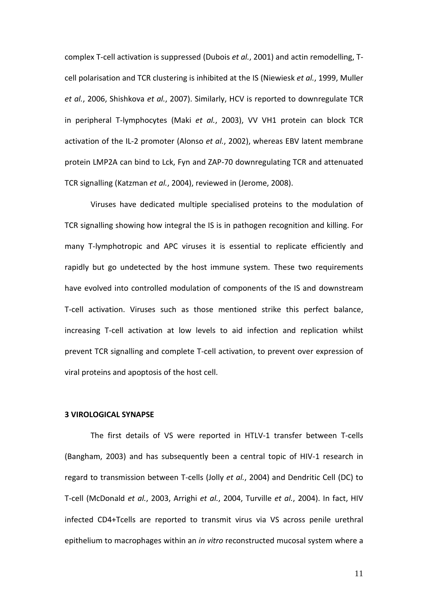complex T-cell activation is suppressed (Dubois *et al.*, 2001) and actin remodelling, Tcell polarisation and TCR clustering is inhibited at the IS (Niewiesk *et al.*, 1999, Muller *et al.*, 2006, Shishkova *et al.*, 2007). Similarly, HCV is reported to downregulate TCR in peripheral T-lymphocytes (Maki *et al.*, 2003), VV VH1 protein can block TCR activation of the IL-2 promoter (Alonso *et al.*, 2002), whereas EBV latent membrane protein LMP2A can bind to Lck, Fyn and ZAP-70 downregulating TCR and attenuated TCR signalling (Katzman *et al.*, 2004), reviewed in (Jerome, 2008).

Viruses have dedicated multiple specialised proteins to the modulation of TCR signalling showing how integral the IS is in pathogen recognition and killing. For many T-lymphotropic and APC viruses it is essential to replicate efficiently and rapidly but go undetected by the host immune system. These two requirements have evolved into controlled modulation of components of the IS and downstream T-cell activation. Viruses such as those mentioned strike this perfect balance, increasing T-cell activation at low levels to aid infection and replication whilst prevent TCR signalling and complete T-cell activation, to prevent over expression of viral proteins and apoptosis of the host cell.

# **3 VIROLOGICAL SYNAPSE**

The first details of VS were reported in HTLV-1 transfer between T-cells (Bangham, 2003) and has subsequently been a central topic of HIV-1 research in regard to transmission between T-cells (Jolly *et al.*, 2004) and Dendritic Cell (DC) to T-cell (McDonald *et al.*, 2003, Arrighi *et al.*, 2004, Turville *et al.*, 2004). In fact, HIV infected CD4+Tcells are reported to transmit virus via VS across penile urethral epithelium to macrophages within an *in vitro* reconstructed mucosal system where a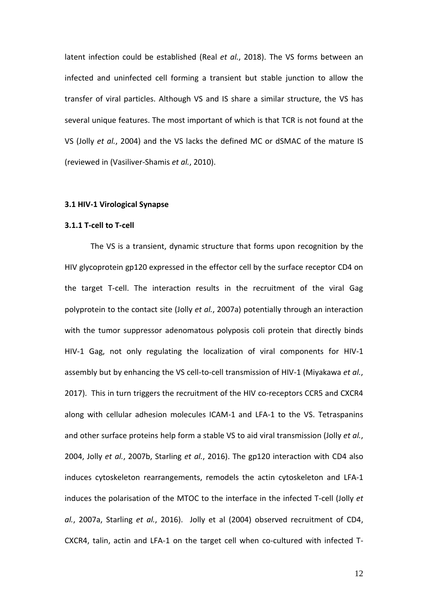latent infection could be established (Real *et al.*, 2018). The VS forms between an infected and uninfected cell forming a transient but stable junction to allow the transfer of viral particles. Although VS and IS share a similar structure, the VS has several unique features. The most important of which is that TCR is not found at the VS (Jolly *et al.*, 2004) and the VS lacks the defined MC or dSMAC of the mature IS (reviewed in (Vasiliver-Shamis *et al.*, 2010).

# **3.1 HIV-1 Virological Synapse**

# **3.1.1 T-cell to T-cell**

The VS is a transient, dynamic structure that forms upon recognition by the HIV glycoprotein gp120 expressed in the effector cell by the surface receptor CD4 on the target T-cell. The interaction results in the recruitment of the viral Gag polyprotein to the contact site (Jolly *et al.*, 2007a) potentially through an interaction with the tumor suppressor adenomatous polyposis coli protein that directly binds HIV-1 Gag, not only regulating the localization of viral components for HIV-1 assembly but by enhancing the VS cell-to-cell transmission of HIV-1 (Miyakawa *et al.*, 2017). This in turn triggers the recruitment of the HIV co-receptors CCR5 and CXCR4 along with cellular adhesion molecules ICAM-1 and LFA-1 to the VS. Tetraspanins and other surface proteins help form a stable VS to aid viral transmission (Jolly *et al.*, 2004, Jolly *et al.*, 2007b, Starling *et al.*, 2016). The gp120 interaction with CD4 also induces cytoskeleton rearrangements, remodels the actin cytoskeleton and LFA-1 induces the polarisation of the MTOC to the interface in the infected T-cell (Jolly *et al.*, 2007a, Starling *et al.*, 2016). Jolly et al (2004) observed recruitment of CD4, CXCR4, talin, actin and LFA-1 on the target cell when co-cultured with infected T-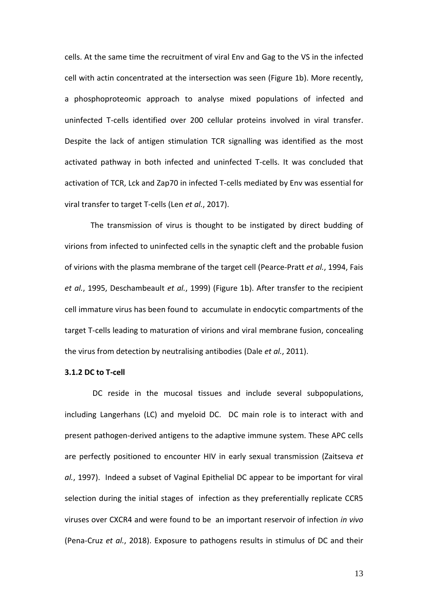cells. At the same time the recruitment of viral Env and Gag to the VS in the infected cell with actin concentrated at the intersection was seen (Figure 1b). More recently, a phosphoproteomic approach to analyse mixed populations of infected and uninfected T-cells identified over 200 cellular proteins involved in viral transfer. Despite the lack of antigen stimulation TCR signalling was identified as the most activated pathway in both infected and uninfected T-cells. It was concluded that activation of TCR, Lck and Zap70 in infected T-cells mediated by Env was essential for viral transfer to target T-cells (Len *et al.*, 2017).

The transmission of virus is thought to be instigated by direct budding of virions from infected to uninfected cells in the synaptic cleft and the probable fusion of virions with the plasma membrane of the target cell (Pearce-Pratt *et al.*, 1994, Fais *et al.*, 1995, Deschambeault *et al.*, 1999) (Figure 1b). After transfer to the recipient cell immature virus has been found to accumulate in endocytic compartments of the target T-cells leading to maturation of virions and viral membrane fusion, concealing the virus from detection by neutralising antibodies (Dale *et al.*, 2011).

# **3.1.2 DC to T-cell**

DC reside in the mucosal tissues and include several subpopulations, including Langerhans (LC) and myeloid DC. DC main role is to interact with and present pathogen-derived antigens to the adaptive immune system. These APC cells are perfectly positioned to encounter HIV in early sexual transmission (Zaitseva *et al.*, 1997). Indeed a subset of Vaginal Epithelial DC appear to be important for viral selection during the initial stages of infection as they preferentially replicate CCR5 viruses over CXCR4 and were found to be an important reservoir of infection *in vivo* (Pena-Cruz *et al.*, 2018). Exposure to pathogens results in stimulus of DC and their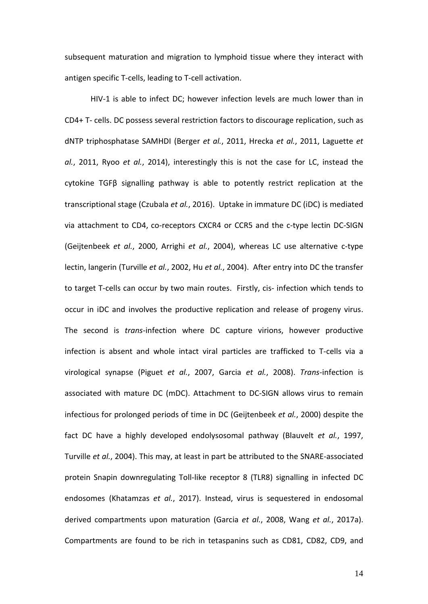subsequent maturation and migration to lymphoid tissue where they interact with antigen specific T-cells, leading to T-cell activation.

HIV-1 is able to infect DC; however infection levels are much lower than in CD4+ T- cells. DC possess several restriction factors to discourage replication, such as dNTP triphosphatase SAMHDI (Berger *et al.*, 2011, Hrecka *et al.*, 2011, Laguette *et al.*, 2011, Ryoo *et al.*, 2014), interestingly this is not the case for LC, instead the cytokine TGFβ signalling pathway is able to potently restrict replication at the transcriptional stage (Czubala *et al.*, 2016). Uptake in immature DC (iDC) is mediated via attachment to CD4, co-receptors CXCR4 or CCR5 and the c-type lectin DC-SIGN (Geijtenbeek *et al.*, 2000, Arrighi *et al.*, 2004), whereas LC use alternative c-type lectin, langerin (Turville *et al.*, 2002, Hu *et al.*, 2004). After entry into DC the transfer to target T-cells can occur by two main routes. Firstly, cis- infection which tends to occur in iDC and involves the productive replication and release of progeny virus. The second is *trans-*infection where DC capture virions, however productive infection is absent and whole intact viral particles are trafficked to T-cells via a virological synapse (Piguet *et al.*, 2007, Garcia *et al.*, 2008). *Trans*-infection is associated with mature DC (mDC). Attachment to DC-SIGN allows virus to remain infectious for prolonged periods of time in DC (Geijtenbeek *et al.*, 2000) despite the fact DC have a highly developed endolysosomal pathway (Blauvelt *et al.*, 1997, Turville *et al.*, 2004). This may, at least in part be attributed to the SNARE-associated protein Snapin downregulating Toll-like receptor 8 (TLR8) signalling in infected DC endosomes (Khatamzas *et al.*, 2017). Instead, virus is sequestered in endosomal derived compartments upon maturation (Garcia *et al.*, 2008, Wang *et al.*, 2017a). Compartments are found to be rich in tetaspanins such as CD81, CD82, CD9, and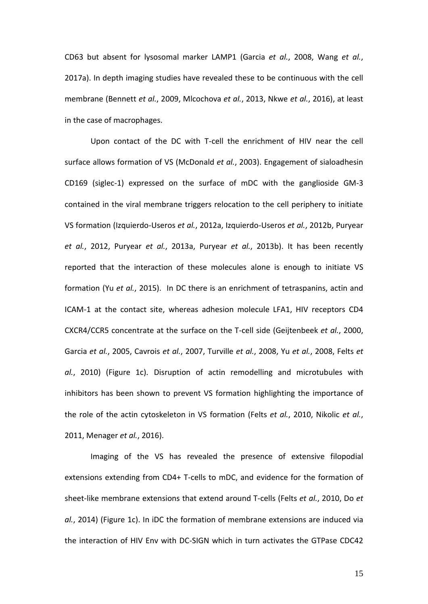CD63 but absent for lysosomal marker LAMP1 (Garcia *et al.*, 2008, Wang *et al.*, 2017a). In depth imaging studies have revealed these to be continuous with the cell membrane (Bennett *et al.*, 2009, Mlcochova *et al.*, 2013, Nkwe *et al.*, 2016), at least in the case of macrophages.

Upon contact of the DC with T-cell the enrichment of HIV near the cell surface allows formation of VS (McDonald *et al.*, 2003). Engagement of sialoadhesin CD169 (siglec-1) expressed on the surface of mDC with the ganglioside GM-3 contained in the viral membrane triggers relocation to the cell periphery to initiate VS formation (Izquierdo-Useros *et al.*, 2012a, Izquierdo-Useros *et al.*, 2012b, Puryear *et al.*, 2012, Puryear *et al.*, 2013a, Puryear *et al.*, 2013b). It has been recently reported that the interaction of these molecules alone is enough to initiate VS formation (Yu *et al.*, 2015). In DC there is an enrichment of tetraspanins, actin and ICAM-1 at the contact site, whereas adhesion molecule LFA1, HIV receptors CD4 CXCR4/CCR5 concentrate at the surface on the T-cell side (Geijtenbeek *et al.*, 2000, Garcia *et al.*, 2005, Cavrois *et al.*, 2007, Turville *et al.*, 2008, Yu *et al.*, 2008, Felts *et al.*, 2010) (Figure 1c). Disruption of actin remodelling and microtubules with inhibitors has been shown to prevent VS formation highlighting the importance of the role of the actin cytoskeleton in VS formation (Felts *et al.*, 2010, Nikolic *et al.*, 2011, Menager *et al.*, 2016).

Imaging of the VS has revealed the presence of extensive filopodial extensions extending from CD4+ T-cells to mDC, and evidence for the formation of sheet-like membrane extensions that extend around T-cells (Felts *et al.*, 2010, Do *et al.*, 2014) (Figure 1c). In iDC the formation of membrane extensions are induced via the interaction of HIV Env with DC-SIGN which in turn activates the GTPase CDC42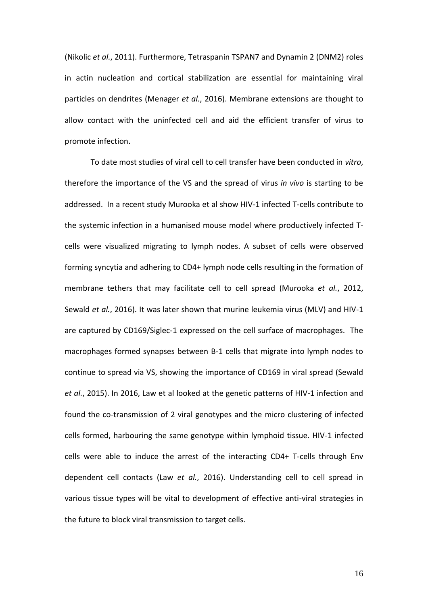(Nikolic *et al.*, 2011). Furthermore, Tetraspanin TSPAN7 and Dynamin 2 (DNM2) roles in actin nucleation and cortical stabilization are essential for maintaining viral particles on dendrites (Menager *et al.*, 2016). Membrane extensions are thought to allow contact with the uninfected cell and aid the efficient transfer of virus to promote infection.

To date most studies of viral cell to cell transfer have been conducted in *vitro*, therefore the importance of the VS and the spread of virus *in vivo* is starting to be addressed. In a recent study Murooka et al show HIV-1 infected T-cells contribute to the systemic infection in a humanised mouse model where productively infected Tcells were visualized migrating to lymph nodes. A subset of cells were observed forming syncytia and adhering to CD4+ lymph node cells resulting in the formation of membrane tethers that may facilitate cell to cell spread (Murooka *et al.*, 2012, Sewald *et al.*, 2016). It was later shown that murine leukemia virus (MLV) and HIV-1 are captured by CD169/Siglec-1 expressed on the cell surface of macrophages. The macrophages formed synapses between B-1 cells that migrate into lymph nodes to continue to spread via VS, showing the importance of CD169 in viral spread (Sewald *et al.*, 2015). In 2016, Law et al looked at the genetic patterns of HIV-1 infection and found the co-transmission of 2 viral genotypes and the micro clustering of infected cells formed, harbouring the same genotype within lymphoid tissue. HIV-1 infected cells were able to induce the arrest of the interacting CD4+ T-cells through Env dependent cell contacts (Law *et al.*, 2016). Understanding cell to cell spread in various tissue types will be vital to development of effective anti-viral strategies in the future to block viral transmission to target cells.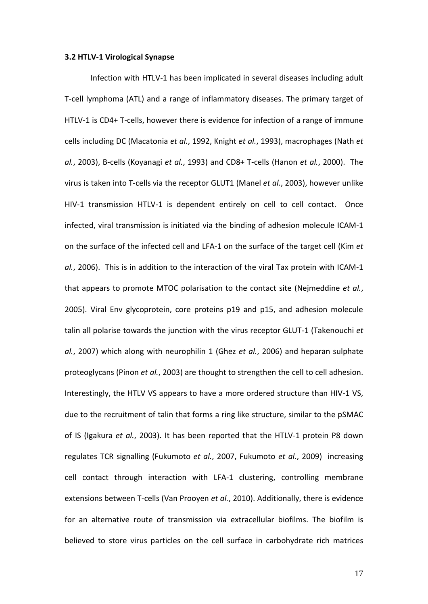# **3.2 HTLV-1 Virological Synapse**

Infection with HTLV-1 has been implicated in several diseases including adult T-cell lymphoma (ATL) and a range of inflammatory diseases. The primary target of HTLV-1 is CD4+ T-cells, however there is evidence for infection of a range of immune cells including DC (Macatonia *et al.*, 1992, Knight *et al.*, 1993), macrophages (Nath *et al.*, 2003), B-cells (Koyanagi *et al.*, 1993) and CD8+ T-cells (Hanon *et al.*, 2000). The virus is taken into T-cells via the receptor GLUT1 (Manel *et al.*, 2003), however unlike HIV-1 transmission HTLV-1 is dependent entirely on cell to cell contact. Once infected, viral transmission is initiated via the binding of adhesion molecule ICAM-1 on the surface of the infected cell and LFA-1 on the surface of the target cell (Kim *et al.*, 2006). This is in addition to the interaction of the viral Tax protein with ICAM-1 that appears to promote MTOC polarisation to the contact site (Nejmeddine *et al.*, 2005). Viral Env glycoprotein, core proteins p19 and p15, and adhesion molecule talin all polarise towards the junction with the virus receptor GLUT-1 (Takenouchi *et al.*, 2007) which along with neurophilin 1 (Ghez *et al.*, 2006) and heparan sulphate proteoglycans (Pinon *et al.*, 2003) are thought to strengthen the cell to cell adhesion. Interestingly, the HTLV VS appears to have a more ordered structure than HIV-1 VS, due to the recruitment of talin that forms a ring like structure, similar to the pSMAC of IS (Igakura *et al.*, 2003). It has been reported that the HTLV-1 protein P8 down regulates TCR signalling (Fukumoto *et al.*, 2007, Fukumoto *et al.*, 2009) increasing cell contact through interaction with LFA-1 clustering, controlling membrane extensions between T-cells (Van Prooyen *et al.*, 2010). Additionally, there is evidence for an alternative route of transmission via extracellular biofilms. The biofilm is believed to store virus particles on the cell surface in carbohydrate rich matrices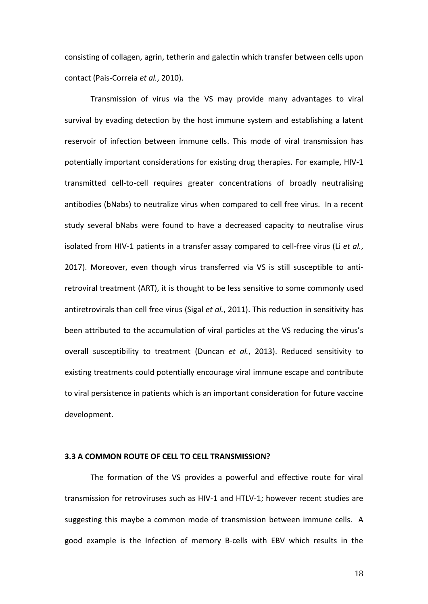consisting of collagen, agrin, tetherin and galectin which transfer between cells upon contact (Pais-Correia *et al.*, 2010).

Transmission of virus via the VS may provide many advantages to viral survival by evading detection by the host immune system and establishing a latent reservoir of infection between immune cells. This mode of viral transmission has potentially important considerations for existing drug therapies. For example, HIV-1 transmitted cell-to-cell requires greater concentrations of broadly neutralising antibodies (bNabs) to neutralize virus when compared to cell free virus. In a recent study several bNabs were found to have a decreased capacity to neutralise virus isolated from HIV-1 patients in a transfer assay compared to cell-free virus (Li *et al.*, 2017). Moreover, even though virus transferred via VS is still susceptible to antiretroviral treatment (ART), it is thought to be less sensitive to some commonly used antiretrovirals than cell free virus (Sigal *et al.*, 2011). This reduction in sensitivity has been attributed to the accumulation of viral particles at the VS reducing the virus's overall susceptibility to treatment (Duncan *et al.*, 2013). Reduced sensitivity to existing treatments could potentially encourage viral immune escape and contribute to viral persistence in patients which is an important consideration for future vaccine development.

# **3.3 A COMMON ROUTE OF CELL TO CELL TRANSMISSION?**

The formation of the VS provides a powerful and effective route for viral transmission for retroviruses such as HIV-1 and HTLV-1; however recent studies are suggesting this maybe a common mode of transmission between immune cells. A good example is the Infection of memory B-cells with EBV which results in the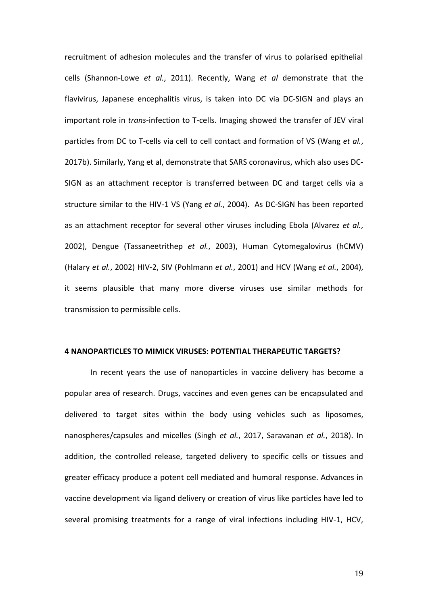recruitment of adhesion molecules and the transfer of virus to polarised epithelial cells (Shannon-Lowe *et al.*, 2011). Recently, Wang *et al* demonstrate that the flavivirus, Japanese encephalitis virus, is taken into DC via DC-SIGN and plays an important role in *trans*-infection to T-cells. Imaging showed the transfer of JEV viral particles from DC to T-cells via cell to cell contact and formation of VS (Wang *et al.*, 2017b). Similarly, Yang et al, demonstrate that SARS coronavirus, which also uses DC-SIGN as an attachment receptor is transferred between DC and target cells via a structure similar to the HIV-1 VS (Yang *et al.*, 2004). As DC-SIGN has been reported as an attachment receptor for several other viruses including Ebola (Alvarez *et al.*, 2002), Dengue (Tassaneetrithep *et al.*, 2003), Human Cytomegalovirus (hCMV) (Halary *et al.*, 2002) HIV-2, SIV (Pohlmann *et al.*, 2001) and HCV (Wang *et al.*, 2004), it seems plausible that many more diverse viruses use similar methods for transmission to permissible cells.

#### **4 NANOPARTICLES TO MIMICK VIRUSES: POTENTIAL THERAPEUTIC TARGETS?**

In recent years the use of nanoparticles in vaccine delivery has become a popular area of research. Drugs, vaccines and even genes can be encapsulated and delivered to target sites within the body using vehicles such as liposomes, nanospheres/capsules and micelles (Singh *et al.*, 2017, Saravanan *et al.*, 2018). In addition, the controlled release, targeted delivery to specific cells or tissues and greater efficacy produce a potent cell mediated and humoral response. Advances in vaccine development via ligand delivery or creation of virus like particles have led to several promising treatments for a range of viral infections including HIV-1, HCV,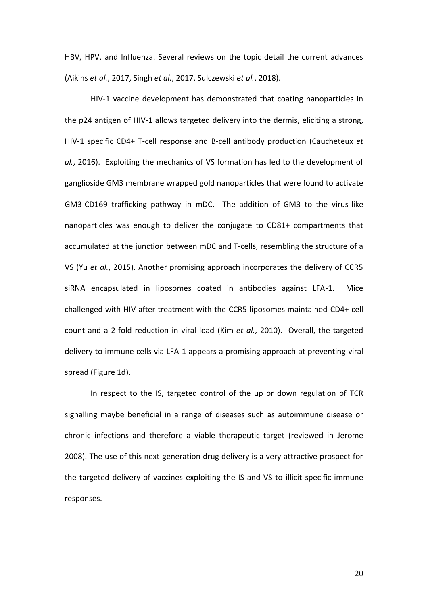HBV, HPV, and Influenza. Several reviews on the topic detail the current advances (Aikins *et al.*, 2017, Singh *et al.*, 2017, Sulczewski *et al.*, 2018).

HIV-1 vaccine development has demonstrated that coating nanoparticles in the p24 antigen of HIV-1 allows targeted delivery into the dermis, eliciting a strong, HIV-1 specific CD4+ T-cell response and B-cell antibody production (Caucheteux *et al.*, 2016). Exploiting the mechanics of VS formation has led to the development of ganglioside GM3 membrane wrapped gold nanoparticles that were found to activate GM3-CD169 trafficking pathway in mDC. The addition of GM3 to the virus-like nanoparticles was enough to deliver the conjugate to CD81+ compartments that accumulated at the junction between mDC and T-cells, resembling the structure of a VS (Yu *et al.*, 2015). Another promising approach incorporates the delivery of CCR5 siRNA encapsulated in liposomes coated in antibodies against LFA-1. Mice challenged with HIV after treatment with the CCR5 liposomes maintained CD4+ cell count and a 2-fold reduction in viral load (Kim *et al.*, 2010). Overall, the targeted delivery to immune cells via LFA-1 appears a promising approach at preventing viral spread (Figure 1d).

In respect to the IS, targeted control of the up or down regulation of TCR signalling maybe beneficial in a range of diseases such as autoimmune disease or chronic infections and therefore a viable therapeutic target (reviewed in Jerome 2008). The use of this next-generation drug delivery is a very attractive prospect for the targeted delivery of vaccines exploiting the IS and VS to illicit specific immune responses.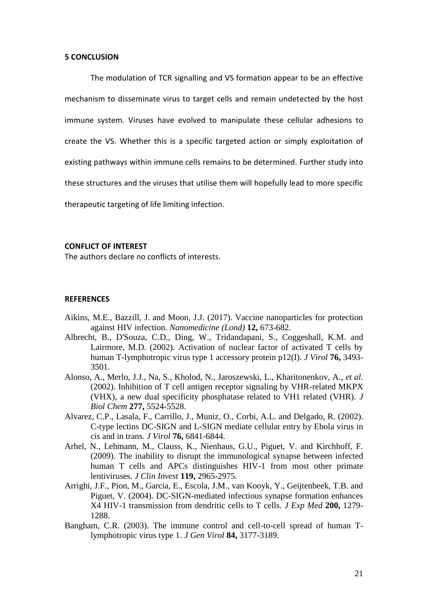#### **5 CONCLUSION**

The modulation of TCR signalling and VS formation appear to be an effective mechanism to disseminate virus to target cells and remain undetected by the host immune system. Viruses have evolved to manipulate these cellular adhesions to create the VS. Whether this is a specific targeted action or simply exploitation of existing pathways within immune cells remains to be determined. Further study into these structures and the viruses that utilise them will hopefully lead to more specific therapeutic targeting of life limiting infection.

## **CONFLICT OF INTEREST**

The authors declare no conflicts of interests.

#### **REFERENCES**

- Aikins, M.E., Bazzill, J. and Moon, J.J. (2017). Vaccine nanoparticles for protection against HIV infection. *Nanomedicine (Lond)* **12,** 673-682.
- Albrecht, B., D'Souza, C.D., Ding, W., Tridandapani, S., Coggeshall, K.M. and Lairmore, M.D. (2002). Activation of nuclear factor of activated T cells by human T-lymphotropic virus type 1 accessory protein p12(I). *J Virol* **76,** 3493- 3501.
- Alonso, A., Merlo, J.J., Na, S., Kholod, N., Jaroszewski, L., Kharitonenkov, A.*, et al.* (2002). Inhibition of T cell antigen receptor signaling by VHR-related MKPX (VHX), a new dual specificity phosphatase related to VH1 related (VHR). *J Biol Chem* **277,** 5524-5528.
- Alvarez, C.P., Lasala, F., Carrillo, J., Muniz, O., Corbi, A.L. and Delgado, R. (2002). C-type lectins DC-SIGN and L-SIGN mediate cellular entry by Ebola virus in cis and in trans. *J Virol* **76,** 6841-6844.
- Arhel, N., Lehmann, M., Clauss, K., Nienhaus, G.U., Piguet, V. and Kirchhoff, F. (2009). The inability to disrupt the immunological synapse between infected human T cells and APCs distinguishes HIV-1 from most other primate lentiviruses. *J Clin Invest* **119,** 2965-2975.
- Arrighi, J.F., Pion, M., Garcia, E., Escola, J.M., van Kooyk, Y., Geijtenbeek, T.B. and Piguet, V. (2004). DC-SIGN-mediated infectious synapse formation enhances X4 HIV-1 transmission from dendritic cells to T cells. *J Exp Med* **200,** 1279- 1288.
- Bangham, C.R. (2003). The immune control and cell-to-cell spread of human Tlymphotropic virus type 1. *J Gen Virol* **84,** 3177-3189.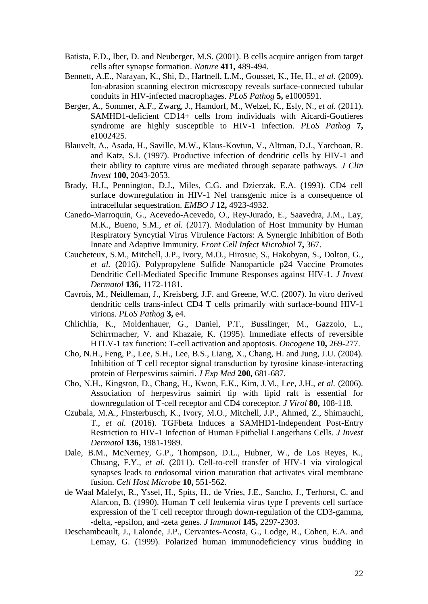- Batista, F.D., Iber, D. and Neuberger, M.S. (2001). B cells acquire antigen from target cells after synapse formation. *Nature* **411,** 489-494.
- Bennett, A.E., Narayan, K., Shi, D., Hartnell, L.M., Gousset, K., He, H.*, et al.* (2009). Ion-abrasion scanning electron microscopy reveals surface-connected tubular conduits in HIV-infected macrophages. *PLoS Pathog* **5,** e1000591.
- Berger, A., Sommer, A.F., Zwarg, J., Hamdorf, M., Welzel, K., Esly, N.*, et al.* (2011). SAMHD1-deficient CD14+ cells from individuals with Aicardi-Goutieres syndrome are highly susceptible to HIV-1 infection. *PLoS Pathog* **7,** e1002425.
- Blauvelt, A., Asada, H., Saville, M.W., Klaus-Kovtun, V., Altman, D.J., Yarchoan, R. and Katz, S.I. (1997). Productive infection of dendritic cells by HIV-1 and their ability to capture virus are mediated through separate pathways. *J Clin Invest* **100,** 2043-2053.
- Brady, H.J., Pennington, D.J., Miles, C.G. and Dzierzak, E.A. (1993). CD4 cell surface downregulation in HIV-1 Nef transgenic mice is a consequence of intracellular sequestration. *EMBO J* **12,** 4923-4932.
- Canedo-Marroquin, G., Acevedo-Acevedo, O., Rey-Jurado, E., Saavedra, J.M., Lay, M.K., Bueno, S.M.*, et al.* (2017). Modulation of Host Immunity by Human Respiratory Syncytial Virus Virulence Factors: A Synergic Inhibition of Both Innate and Adaptive Immunity. *Front Cell Infect Microbiol* **7,** 367.
- Caucheteux, S.M., Mitchell, J.P., Ivory, M.O., Hirosue, S., Hakobyan, S., Dolton, G.*, et al.* (2016). Polypropylene Sulfide Nanoparticle p24 Vaccine Promotes Dendritic Cell-Mediated Specific Immune Responses against HIV-1. *J Invest Dermatol* **136,** 1172-1181.
- Cavrois, M., Neidleman, J., Kreisberg, J.F. and Greene, W.C. (2007). In vitro derived dendritic cells trans-infect CD4 T cells primarily with surface-bound HIV-1 virions. *PLoS Pathog* **3,** e4.
- Chlichlia, K., Moldenhauer, G., Daniel, P.T., Busslinger, M., Gazzolo, L., Schirrmacher, V. and Khazaie, K. (1995). Immediate effects of reversible HTLV-1 tax function: T-cell activation and apoptosis. *Oncogene* **10,** 269-277.
- Cho, N.H., Feng, P., Lee, S.H., Lee, B.S., Liang, X., Chang, H. and Jung, J.U. (2004). Inhibition of T cell receptor signal transduction by tyrosine kinase-interacting protein of Herpesvirus saimiri. *J Exp Med* **200,** 681-687.
- Cho, N.H., Kingston, D., Chang, H., Kwon, E.K., Kim, J.M., Lee, J.H.*, et al.* (2006). Association of herpesvirus saimiri tip with lipid raft is essential for downregulation of T-cell receptor and CD4 coreceptor. *J Virol* **80,** 108-118.
- Czubala, M.A., Finsterbusch, K., Ivory, M.O., Mitchell, J.P., Ahmed, Z., Shimauchi, T.*, et al.* (2016). TGFbeta Induces a SAMHD1-Independent Post-Entry Restriction to HIV-1 Infection of Human Epithelial Langerhans Cells. *J Invest Dermatol* **136,** 1981-1989.
- Dale, B.M., McNerney, G.P., Thompson, D.L., Hubner, W., de Los Reyes, K., Chuang, F.Y.*, et al.* (2011). Cell-to-cell transfer of HIV-1 via virological synapses leads to endosomal virion maturation that activates viral membrane fusion. *Cell Host Microbe* **10,** 551-562.
- de Waal Malefyt, R., Yssel, H., Spits, H., de Vries, J.E., Sancho, J., Terhorst, C. and Alarcon, B. (1990). Human T cell leukemia virus type I prevents cell surface expression of the T cell receptor through down-regulation of the CD3-gamma, -delta, -epsilon, and -zeta genes. *J Immunol* **145,** 2297-2303.
- Deschambeault, J., Lalonde, J.P., Cervantes-Acosta, G., Lodge, R., Cohen, E.A. and Lemay, G. (1999). Polarized human immunodeficiency virus budding in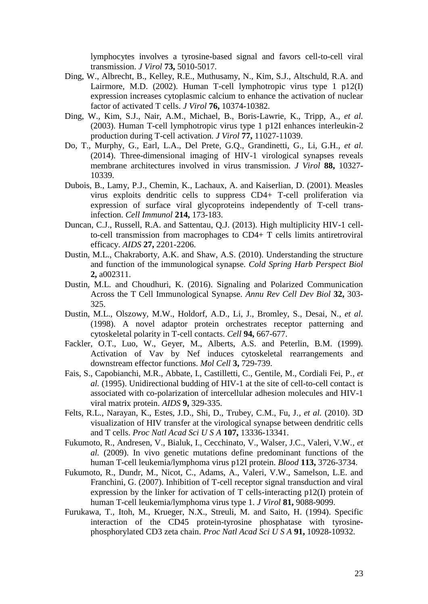lymphocytes involves a tyrosine-based signal and favors cell-to-cell viral transmission. *J Virol* **73,** 5010-5017.

- Ding, W., Albrecht, B., Kelley, R.E., Muthusamy, N., Kim, S.J., Altschuld, R.A. and Lairmore, M.D. (2002). Human T-cell lymphotropic virus type 1 p12(I) expression increases cytoplasmic calcium to enhance the activation of nuclear factor of activated T cells. *J Virol* **76,** 10374-10382.
- Ding, W., Kim, S.J., Nair, A.M., Michael, B., Boris-Lawrie, K., Tripp, A.*, et al.* (2003). Human T-cell lymphotropic virus type 1 p12I enhances interleukin-2 production during T-cell activation. *J Virol* **77,** 11027-11039.
- Do, T., Murphy, G., Earl, L.A., Del Prete, G.Q., Grandinetti, G., Li, G.H.*, et al.* (2014). Three-dimensional imaging of HIV-1 virological synapses reveals membrane architectures involved in virus transmission. *J Virol* **88,** 10327- 10339.
- Dubois, B., Lamy, P.J., Chemin, K., Lachaux, A. and Kaiserlian, D. (2001). Measles virus exploits dendritic cells to suppress CD4+ T-cell proliferation via expression of surface viral glycoproteins independently of T-cell transinfection. *Cell Immunol* **214,** 173-183.
- Duncan, C.J., Russell, R.A. and Sattentau, Q.J. (2013). High multiplicity HIV-1 cellto-cell transmission from macrophages to CD4+ T cells limits antiretroviral efficacy. *AIDS* **27,** 2201-2206.
- Dustin, M.L., Chakraborty, A.K. and Shaw, A.S. (2010). Understanding the structure and function of the immunological synapse. *Cold Spring Harb Perspect Biol* **2,** a002311.
- Dustin, M.L. and Choudhuri, K. (2016). Signaling and Polarized Communication Across the T Cell Immunological Synapse. *Annu Rev Cell Dev Biol* **32,** 303- 325.
- Dustin, M.L., Olszowy, M.W., Holdorf, A.D., Li, J., Bromley, S., Desai, N.*, et al.* (1998). A novel adaptor protein orchestrates receptor patterning and cytoskeletal polarity in T-cell contacts. *Cell* **94,** 667-677.
- Fackler, O.T., Luo, W., Geyer, M., Alberts, A.S. and Peterlin, B.M. (1999). Activation of Vav by Nef induces cytoskeletal rearrangements and downstream effector functions. *Mol Cell* **3,** 729-739.
- Fais, S., Capobianchi, M.R., Abbate, I., Castilletti, C., Gentile, M., Cordiali Fei, P.*, et al.* (1995). Unidirectional budding of HIV-1 at the site of cell-to-cell contact is associated with co-polarization of intercellular adhesion molecules and HIV-1 viral matrix protein. *AIDS* **9,** 329-335.
- Felts, R.L., Narayan, K., Estes, J.D., Shi, D., Trubey, C.M., Fu, J.*, et al.* (2010). 3D visualization of HIV transfer at the virological synapse between dendritic cells and T cells. *Proc Natl Acad Sci U S A* **107,** 13336-13341.
- Fukumoto, R., Andresen, V., Bialuk, I., Cecchinato, V., Walser, J.C., Valeri, V.W.*, et al.* (2009). In vivo genetic mutations define predominant functions of the human T-cell leukemia/lymphoma virus p12I protein. *Blood* **113,** 3726-3734.
- Fukumoto, R., Dundr, M., Nicot, C., Adams, A., Valeri, V.W., Samelson, L.E. and Franchini, G. (2007). Inhibition of T-cell receptor signal transduction and viral expression by the linker for activation of T cells-interacting p12(I) protein of human T-cell leukemia/lymphoma virus type 1. *J Virol* **81,** 9088-9099.
- Furukawa, T., Itoh, M., Krueger, N.X., Streuli, M. and Saito, H. (1994). Specific interaction of the CD45 protein-tyrosine phosphatase with tyrosinephosphorylated CD3 zeta chain. *Proc Natl Acad Sci U S A* **91,** 10928-10932.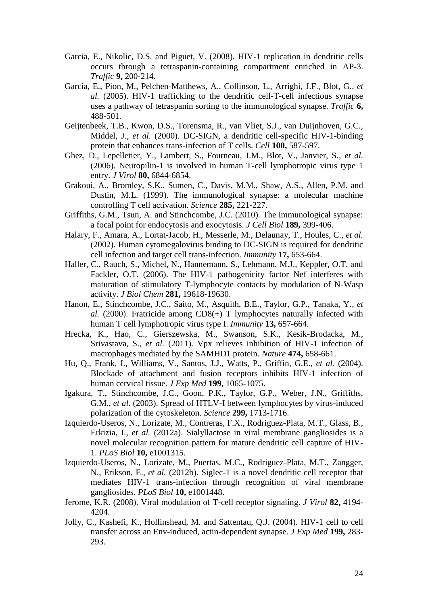- Garcia, E., Nikolic, D.S. and Piguet, V. (2008). HIV-1 replication in dendritic cells occurs through a tetraspanin-containing compartment enriched in AP-3. *Traffic* **9,** 200-214.
- Garcia, E., Pion, M., Pelchen-Matthews, A., Collinson, L., Arrighi, J.F., Blot, G.*, et al.* (2005). HIV-1 trafficking to the dendritic cell-T-cell infectious synapse uses a pathway of tetraspanin sorting to the immunological synapse. *Traffic* **6,** 488-501.
- Geijtenbeek, T.B., Kwon, D.S., Torensma, R., van Vliet, S.J., van Duijnhoven, G.C., Middel, J.*, et al.* (2000). DC-SIGN, a dendritic cell-specific HIV-1-binding protein that enhances trans-infection of T cells. *Cell* **100,** 587-597.
- Ghez, D., Lepelletier, Y., Lambert, S., Fourneau, J.M., Blot, V., Janvier, S.*, et al.* (2006). Neuropilin-1 is involved in human T-cell lymphotropic virus type 1 entry. *J Virol* **80,** 6844-6854.
- Grakoui, A., Bromley, S.K., Sumen, C., Davis, M.M., Shaw, A.S., Allen, P.M. and Dustin, M.L. (1999). The immunological synapse: a molecular machine controlling T cell activation. *Science* **285,** 221-227.
- Griffiths, G.M., Tsun, A. and Stinchcombe, J.C. (2010). The immunological synapse: a focal point for endocytosis and exocytosis. *J Cell Biol* **189,** 399-406.
- Halary, F., Amara, A., Lortat-Jacob, H., Messerle, M., Delaunay, T., Houles, C.*, et al.* (2002). Human cytomegalovirus binding to DC-SIGN is required for dendritic cell infection and target cell trans-infection. *Immunity* **17,** 653-664.
- Haller, C., Rauch, S., Michel, N., Hannemann, S., Lehmann, M.J., Keppler, O.T. and Fackler, O.T. (2006). The HIV-1 pathogenicity factor Nef interferes with maturation of stimulatory T-lymphocyte contacts by modulation of N-Wasp activity. *J Biol Chem* **281,** 19618-19630.
- Hanon, E., Stinchcombe, J.C., Saito, M., Asquith, B.E., Taylor, G.P., Tanaka, Y.*, et al.* (2000). Fratricide among CD8(+) T lymphocytes naturally infected with human T cell lymphotropic virus type I. *Immunity* **13,** 657-664.
- Hrecka, K., Hao, C., Gierszewska, M., Swanson, S.K., Kesik-Brodacka, M., Srivastava, S.*, et al.* (2011). Vpx relieves inhibition of HIV-1 infection of macrophages mediated by the SAMHD1 protein. *Nature* **474,** 658-661.
- Hu, Q., Frank, I., Williams, V., Santos, J.J., Watts, P., Griffin, G.E.*, et al.* (2004). Blockade of attachment and fusion receptors inhibits HIV-1 infection of human cervical tissue. *J Exp Med* **199,** 1065-1075.
- Igakura, T., Stinchcombe, J.C., Goon, P.K., Taylor, G.P., Weber, J.N., Griffiths, G.M.*, et al.* (2003). Spread of HTLV-I between lymphocytes by virus-induced polarization of the cytoskeleton. *Science* **299,** 1713-1716.
- Izquierdo-Useros, N., Lorizate, M., Contreras, F.X., Rodriguez-Plata, M.T., Glass, B., Erkizia, I.*, et al.* (2012a). Sialyllactose in viral membrane gangliosides is a novel molecular recognition pattern for mature dendritic cell capture of HIV-1. *PLoS Biol* **10,** e1001315.
- Izquierdo-Useros, N., Lorizate, M., Puertas, M.C., Rodriguez-Plata, M.T., Zangger, N., Erikson, E.*, et al.* (2012b). Siglec-1 is a novel dendritic cell receptor that mediates HIV-1 trans-infection through recognition of viral membrane gangliosides. *PLoS Biol* **10,** e1001448.
- Jerome, K.R. (2008). Viral modulation of T-cell receptor signaling. *J Virol* **82,** 4194- 4204.
- Jolly, C., Kashefi, K., Hollinshead, M. and Sattentau, Q.J. (2004). HIV-1 cell to cell transfer across an Env-induced, actin-dependent synapse. *J Exp Med* **199,** 283- 293.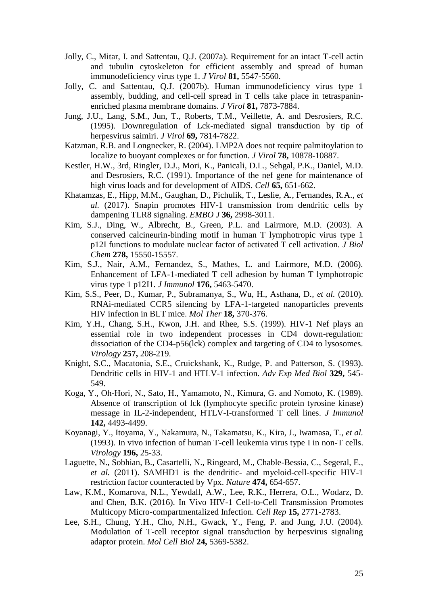- Jolly, C., Mitar, I. and Sattentau, Q.J. (2007a). Requirement for an intact T-cell actin and tubulin cytoskeleton for efficient assembly and spread of human immunodeficiency virus type 1. *J Virol* **81,** 5547-5560.
- Jolly, C. and Sattentau, Q.J. (2007b). Human immunodeficiency virus type 1 assembly, budding, and cell-cell spread in T cells take place in tetraspaninenriched plasma membrane domains. *J Virol* **81,** 7873-7884.
- Jung, J.U., Lang, S.M., Jun, T., Roberts, T.M., Veillette, A. and Desrosiers, R.C. (1995). Downregulation of Lck-mediated signal transduction by tip of herpesvirus saimiri. *J Virol* **69,** 7814-7822.
- Katzman, R.B. and Longnecker, R. (2004). LMP2A does not require palmitoylation to localize to buoyant complexes or for function. *J Virol* **78,** 10878-10887.
- Kestler, H.W., 3rd, Ringler, D.J., Mori, K., Panicali, D.L., Sehgal, P.K., Daniel, M.D. and Desrosiers, R.C. (1991). Importance of the nef gene for maintenance of high virus loads and for development of AIDS. *Cell* **65,** 651-662.
- Khatamzas, E., Hipp, M.M., Gaughan, D., Pichulik, T., Leslie, A., Fernandes, R.A.*, et al.* (2017). Snapin promotes HIV-1 transmission from dendritic cells by dampening TLR8 signaling. *EMBO J* **36,** 2998-3011.
- Kim, S.J., Ding, W., Albrecht, B., Green, P.L. and Lairmore, M.D. (2003). A conserved calcineurin-binding motif in human T lymphotropic virus type 1 p12I functions to modulate nuclear factor of activated T cell activation. *J Biol Chem* **278,** 15550-15557.
- Kim, S.J., Nair, A.M., Fernandez, S., Mathes, L. and Lairmore, M.D. (2006). Enhancement of LFA-1-mediated T cell adhesion by human T lymphotropic virus type 1 p12I1. *J Immunol* **176,** 5463-5470.
- Kim, S.S., Peer, D., Kumar, P., Subramanya, S., Wu, H., Asthana, D.*, et al.* (2010). RNAi-mediated CCR5 silencing by LFA-1-targeted nanoparticles prevents HIV infection in BLT mice. *Mol Ther* **18,** 370-376.
- Kim, Y.H., Chang, S.H., Kwon, J.H. and Rhee, S.S. (1999). HIV-1 Nef plays an essential role in two independent processes in CD4 down-regulation: dissociation of the CD4-p56(lck) complex and targeting of CD4 to lysosomes. *Virology* **257,** 208-219.
- Knight, S.C., Macatonia, S.E., Cruickshank, K., Rudge, P. and Patterson, S. (1993). Dendritic cells in HIV-1 and HTLV-1 infection. *Adv Exp Med Biol* **329,** 545- 549.
- Koga, Y., Oh-Hori, N., Sato, H., Yamamoto, N., Kimura, G. and Nomoto, K. (1989). Absence of transcription of lck (lymphocyte specific protein tyrosine kinase) message in IL-2-independent, HTLV-I-transformed T cell lines. *J Immunol* **142,** 4493-4499.
- Koyanagi, Y., Itoyama, Y., Nakamura, N., Takamatsu, K., Kira, J., Iwamasa, T.*, et al.* (1993). In vivo infection of human T-cell leukemia virus type I in non-T cells. *Virology* **196,** 25-33.
- Laguette, N., Sobhian, B., Casartelli, N., Ringeard, M., Chable-Bessia, C., Segeral, E.*, et al.* (2011). SAMHD1 is the dendritic- and myeloid-cell-specific HIV-1 restriction factor counteracted by Vpx. *Nature* **474,** 654-657.
- Law, K.M., Komarova, N.L., Yewdall, A.W., Lee, R.K., Herrera, O.L., Wodarz, D. and Chen, B.K. (2016). In Vivo HIV-1 Cell-to-Cell Transmission Promotes Multicopy Micro-compartmentalized Infection. *Cell Rep* **15,** 2771-2783.
- Lee, S.H., Chung, Y.H., Cho, N.H., Gwack, Y., Feng, P. and Jung, J.U. (2004). Modulation of T-cell receptor signal transduction by herpesvirus signaling adaptor protein. *Mol Cell Biol* **24,** 5369-5382.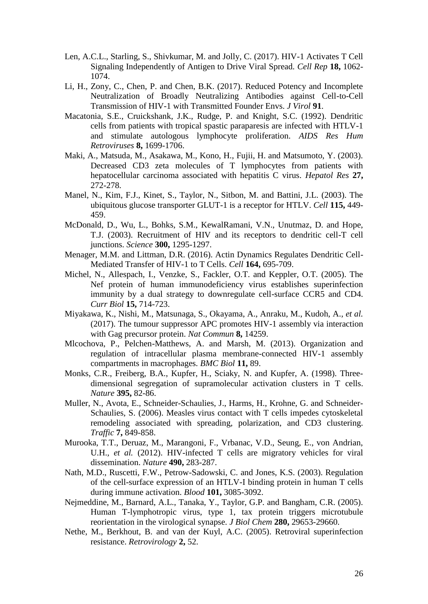- Len, A.C.L., Starling, S., Shivkumar, M. and Jolly, C. (2017). HIV-1 Activates T Cell Signaling Independently of Antigen to Drive Viral Spread. *Cell Rep* **18,** 1062- 1074.
- Li, H., Zony, C., Chen, P. and Chen, B.K. (2017). Reduced Potency and Incomplete Neutralization of Broadly Neutralizing Antibodies against Cell-to-Cell Transmission of HIV-1 with Transmitted Founder Envs. *J Virol* **91**.
- Macatonia, S.E., Cruickshank, J.K., Rudge, P. and Knight, S.C. (1992). Dendritic cells from patients with tropical spastic paraparesis are infected with HTLV-1 and stimulate autologous lymphocyte proliferation. *AIDS Res Hum Retroviruses* **8,** 1699-1706.
- Maki, A., Matsuda, M., Asakawa, M., Kono, H., Fujii, H. and Matsumoto, Y. (2003). Decreased CD3 zeta molecules of T lymphocytes from patients with hepatocellular carcinoma associated with hepatitis C virus. *Hepatol Res* **27,** 272-278.
- Manel, N., Kim, F.J., Kinet, S., Taylor, N., Sitbon, M. and Battini, J.L. (2003). The ubiquitous glucose transporter GLUT-1 is a receptor for HTLV. *Cell* **115,** 449- 459.
- McDonald, D., Wu, L., Bohks, S.M., KewalRamani, V.N., Unutmaz, D. and Hope, T.J. (2003). Recruitment of HIV and its receptors to dendritic cell-T cell junctions. *Science* **300,** 1295-1297.
- Menager, M.M. and Littman, D.R. (2016). Actin Dynamics Regulates Dendritic Cell-Mediated Transfer of HIV-1 to T Cells. *Cell* **164,** 695-709.
- Michel, N., Allespach, I., Venzke, S., Fackler, O.T. and Keppler, O.T. (2005). The Nef protein of human immunodeficiency virus establishes superinfection immunity by a dual strategy to downregulate cell-surface CCR5 and CD4. *Curr Biol* **15,** 714-723.
- Miyakawa, K., Nishi, M., Matsunaga, S., Okayama, A., Anraku, M., Kudoh, A.*, et al.* (2017). The tumour suppressor APC promotes HIV-1 assembly via interaction with Gag precursor protein. *Nat Commun* **8,** 14259.
- Mlcochova, P., Pelchen-Matthews, A. and Marsh, M. (2013). Organization and regulation of intracellular plasma membrane-connected HIV-1 assembly compartments in macrophages. *BMC Biol* **11,** 89.
- Monks, C.R., Freiberg, B.A., Kupfer, H., Sciaky, N. and Kupfer, A. (1998). Threedimensional segregation of supramolecular activation clusters in T cells. *Nature* **395,** 82-86.
- Muller, N., Avota, E., Schneider-Schaulies, J., Harms, H., Krohne, G. and Schneider-Schaulies, S. (2006). Measles virus contact with T cells impedes cytoskeletal remodeling associated with spreading, polarization, and CD3 clustering. *Traffic* **7,** 849-858.
- Murooka, T.T., Deruaz, M., Marangoni, F., Vrbanac, V.D., Seung, E., von Andrian, U.H.*, et al.* (2012). HIV-infected T cells are migratory vehicles for viral dissemination. *Nature* **490,** 283-287.
- Nath, M.D., Ruscetti, F.W., Petrow-Sadowski, C. and Jones, K.S. (2003). Regulation of the cell-surface expression of an HTLV-I binding protein in human T cells during immune activation. *Blood* **101,** 3085-3092.
- Nejmeddine, M., Barnard, A.L., Tanaka, Y., Taylor, G.P. and Bangham, C.R. (2005). Human T-lymphotropic virus, type 1, tax protein triggers microtubule reorientation in the virological synapse. *J Biol Chem* **280,** 29653-29660.
- Nethe, M., Berkhout, B. and van der Kuyl, A.C. (2005). Retroviral superinfection resistance. *Retrovirology* **2,** 52.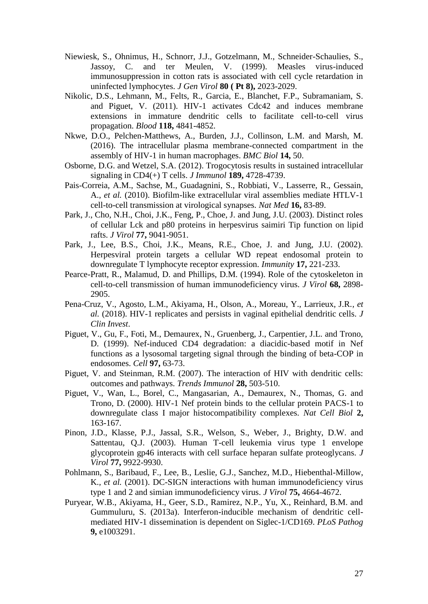- Niewiesk, S., Ohnimus, H., Schnorr, J.J., Gotzelmann, M., Schneider-Schaulies, S., Jassoy, C. and ter Meulen, V. (1999). Measles virus-induced immunosuppression in cotton rats is associated with cell cycle retardation in uninfected lymphocytes. *J Gen Virol* **80 ( Pt 8),** 2023-2029.
- Nikolic, D.S., Lehmann, M., Felts, R., Garcia, E., Blanchet, F.P., Subramaniam, S. and Piguet, V. (2011). HIV-1 activates Cdc42 and induces membrane extensions in immature dendritic cells to facilitate cell-to-cell virus propagation. *Blood* **118,** 4841-4852.
- Nkwe, D.O., Pelchen-Matthews, A., Burden, J.J., Collinson, L.M. and Marsh, M. (2016). The intracellular plasma membrane-connected compartment in the assembly of HIV-1 in human macrophages. *BMC Biol* **14,** 50.
- Osborne, D.G. and Wetzel, S.A. (2012). Trogocytosis results in sustained intracellular signaling in CD4(+) T cells. *J Immunol* **189,** 4728-4739.
- Pais-Correia, A.M., Sachse, M., Guadagnini, S., Robbiati, V., Lasserre, R., Gessain, A.*, et al.* (2010). Biofilm-like extracellular viral assemblies mediate HTLV-1 cell-to-cell transmission at virological synapses. *Nat Med* **16,** 83-89.
- Park, J., Cho, N.H., Choi, J.K., Feng, P., Choe, J. and Jung, J.U. (2003). Distinct roles of cellular Lck and p80 proteins in herpesvirus saimiri Tip function on lipid rafts. *J Virol* **77,** 9041-9051.
- Park, J., Lee, B.S., Choi, J.K., Means, R.E., Choe, J. and Jung, J.U. (2002). Herpesviral protein targets a cellular WD repeat endosomal protein to downregulate T lymphocyte receptor expression. *Immunity* **17,** 221-233.
- Pearce-Pratt, R., Malamud, D. and Phillips, D.M. (1994). Role of the cytoskeleton in cell-to-cell transmission of human immunodeficiency virus. *J Virol* **68,** 2898- 2905.
- Pena-Cruz, V., Agosto, L.M., Akiyama, H., Olson, A., Moreau, Y., Larrieux, J.R.*, et al.* (2018). HIV-1 replicates and persists in vaginal epithelial dendritic cells. *J Clin Invest*.
- Piguet, V., Gu, F., Foti, M., Demaurex, N., Gruenberg, J., Carpentier, J.L. and Trono, D. (1999). Nef-induced CD4 degradation: a diacidic-based motif in Nef functions as a lysosomal targeting signal through the binding of beta-COP in endosomes. *Cell* **97,** 63-73.
- Piguet, V. and Steinman, R.M. (2007). The interaction of HIV with dendritic cells: outcomes and pathways. *Trends Immunol* **28,** 503-510.
- Piguet, V., Wan, L., Borel, C., Mangasarian, A., Demaurex, N., Thomas, G. and Trono, D. (2000). HIV-1 Nef protein binds to the cellular protein PACS-1 to downregulate class I major histocompatibility complexes. *Nat Cell Biol* **2,** 163-167.
- Pinon, J.D., Klasse, P.J., Jassal, S.R., Welson, S., Weber, J., Brighty, D.W. and Sattentau, Q.J. (2003). Human T-cell leukemia virus type 1 envelope glycoprotein gp46 interacts with cell surface heparan sulfate proteoglycans. *J Virol* **77,** 9922-9930.
- Pohlmann, S., Baribaud, F., Lee, B., Leslie, G.J., Sanchez, M.D., Hiebenthal-Millow, K.*, et al.* (2001). DC-SIGN interactions with human immunodeficiency virus type 1 and 2 and simian immunodeficiency virus. *J Virol* **75,** 4664-4672.
- Puryear, W.B., Akiyama, H., Geer, S.D., Ramirez, N.P., Yu, X., Reinhard, B.M. and Gummuluru, S. (2013a). Interferon-inducible mechanism of dendritic cellmediated HIV-1 dissemination is dependent on Siglec-1/CD169. *PLoS Pathog* **9,** e1003291.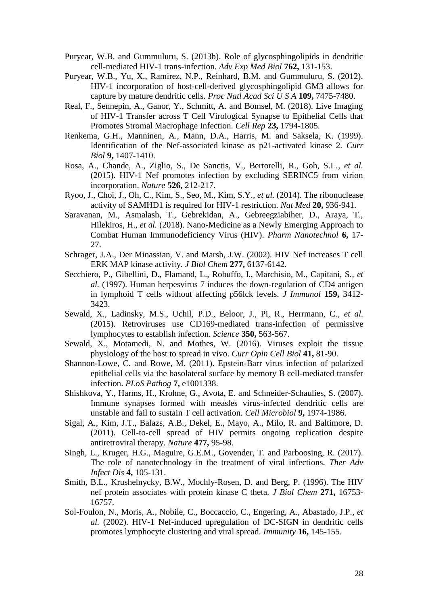- Puryear, W.B. and Gummuluru, S. (2013b). Role of glycosphingolipids in dendritic cell-mediated HIV-1 trans-infection. *Adv Exp Med Biol* **762,** 131-153.
- Puryear, W.B., Yu, X., Ramirez, N.P., Reinhard, B.M. and Gummuluru, S. (2012). HIV-1 incorporation of host-cell-derived glycosphingolipid GM3 allows for capture by mature dendritic cells. *Proc Natl Acad Sci U S A* **109,** 7475-7480.
- Real, F., Sennepin, A., Ganor, Y., Schmitt, A. and Bomsel, M. (2018). Live Imaging of HIV-1 Transfer across T Cell Virological Synapse to Epithelial Cells that Promotes Stromal Macrophage Infection. *Cell Rep* **23,** 1794-1805.
- Renkema, G.H., Manninen, A., Mann, D.A., Harris, M. and Saksela, K. (1999). Identification of the Nef-associated kinase as p21-activated kinase 2. *Curr Biol* **9,** 1407-1410.
- Rosa, A., Chande, A., Ziglio, S., De Sanctis, V., Bertorelli, R., Goh, S.L.*, et al.* (2015). HIV-1 Nef promotes infection by excluding SERINC5 from virion incorporation. *Nature* **526,** 212-217.
- Ryoo, J., Choi, J., Oh, C., Kim, S., Seo, M., Kim, S.Y.*, et al.* (2014). The ribonuclease activity of SAMHD1 is required for HIV-1 restriction. *Nat Med* **20,** 936-941.
- Saravanan, M., Asmalash, T., Gebrekidan, A., Gebreegziabiher, D., Araya, T., Hilekiros, H.*, et al.* (2018). Nano-Medicine as a Newly Emerging Approach to Combat Human Immunodeficiency Virus (HIV). *Pharm Nanotechnol* **6,** 17- 27.
- Schrager, J.A., Der Minassian, V. and Marsh, J.W. (2002). HIV Nef increases T cell ERK MAP kinase activity. *J Biol Chem* **277,** 6137-6142.
- Secchiero, P., Gibellini, D., Flamand, L., Robuffo, I., Marchisio, M., Capitani, S.*, et al.* (1997). Human herpesvirus 7 induces the down-regulation of CD4 antigen in lymphoid T cells without affecting p56lck levels. *J Immunol* **159,** 3412- 3423.
- Sewald, X., Ladinsky, M.S., Uchil, P.D., Beloor, J., Pi, R., Herrmann, C.*, et al.* (2015). Retroviruses use CD169-mediated trans-infection of permissive lymphocytes to establish infection. *Science* **350,** 563-567.
- Sewald, X., Motamedi, N. and Mothes, W. (2016). Viruses exploit the tissue physiology of the host to spread in vivo. *Curr Opin Cell Biol* **41,** 81-90.
- Shannon-Lowe, C. and Rowe, M. (2011). Epstein-Barr virus infection of polarized epithelial cells via the basolateral surface by memory B cell-mediated transfer infection. *PLoS Pathog* **7,** e1001338.
- Shishkova, Y., Harms, H., Krohne, G., Avota, E. and Schneider-Schaulies, S. (2007). Immune synapses formed with measles virus-infected dendritic cells are unstable and fail to sustain T cell activation. *Cell Microbiol* **9,** 1974-1986.
- Sigal, A., Kim, J.T., Balazs, A.B., Dekel, E., Mayo, A., Milo, R. and Baltimore, D. (2011). Cell-to-cell spread of HIV permits ongoing replication despite antiretroviral therapy. *Nature* **477,** 95-98.
- Singh, L., Kruger, H.G., Maguire, G.E.M., Govender, T. and Parboosing, R. (2017). The role of nanotechnology in the treatment of viral infections. *Ther Adv Infect Dis* **4,** 105-131.
- Smith, B.L., Krushelnycky, B.W., Mochly-Rosen, D. and Berg, P. (1996). The HIV nef protein associates with protein kinase C theta. *J Biol Chem* **271,** 16753- 16757.
- Sol-Foulon, N., Moris, A., Nobile, C., Boccaccio, C., Engering, A., Abastado, J.P.*, et al.* (2002). HIV-1 Nef-induced upregulation of DC-SIGN in dendritic cells promotes lymphocyte clustering and viral spread. *Immunity* **16,** 145-155.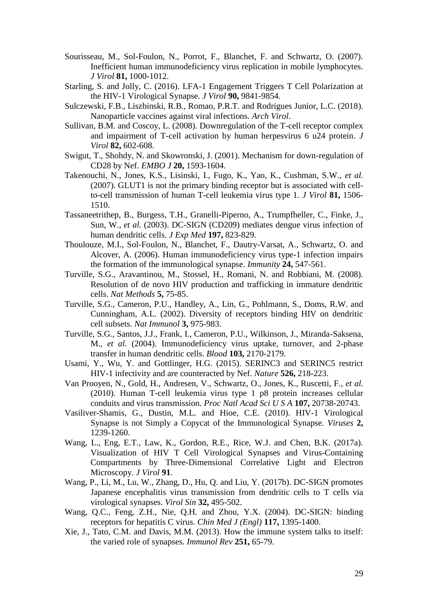- Sourisseau, M., Sol-Foulon, N., Porrot, F., Blanchet, F. and Schwartz, O. (2007). Inefficient human immunodeficiency virus replication in mobile lymphocytes. *J Virol* **81,** 1000-1012.
- Starling, S. and Jolly, C. (2016). LFA-1 Engagement Triggers T Cell Polarization at the HIV-1 Virological Synapse. *J Virol* **90,** 9841-9854.
- Sulczewski, F.B., Liszbinski, R.B., Romao, P.R.T. and Rodrigues Junior, L.C. (2018). Nanoparticle vaccines against viral infections. *Arch Virol*.
- Sullivan, B.M. and Coscoy, L. (2008). Downregulation of the T-cell receptor complex and impairment of T-cell activation by human herpesvirus 6 u24 protein. *J Virol* **82,** 602-608.
- Swigut, T., Shohdy, N. and Skowronski, J. (2001). Mechanism for down-regulation of CD28 by Nef. *EMBO J* **20,** 1593-1604.
- Takenouchi, N., Jones, K.S., Lisinski, I., Fugo, K., Yao, K., Cushman, S.W.*, et al.* (2007). GLUT1 is not the primary binding receptor but is associated with cellto-cell transmission of human T-cell leukemia virus type 1. *J Virol* **81,** 1506- 1510.
- Tassaneetrithep, B., Burgess, T.H., Granelli-Piperno, A., Trumpfheller, C., Finke, J., Sun, W.*, et al.* (2003). DC-SIGN (CD209) mediates dengue virus infection of human dendritic cells. *J Exp Med* **197,** 823-829.
- Thoulouze, M.I., Sol-Foulon, N., Blanchet, F., Dautry-Varsat, A., Schwartz, O. and Alcover, A. (2006). Human immunodeficiency virus type-1 infection impairs the formation of the immunological synapse. *Immunity* **24,** 547-561.
- Turville, S.G., Aravantinou, M., Stossel, H., Romani, N. and Robbiani, M. (2008). Resolution of de novo HIV production and trafficking in immature dendritic cells. *Nat Methods* **5,** 75-85.
- Turville, S.G., Cameron, P.U., Handley, A., Lin, G., Pohlmann, S., Doms, R.W. and Cunningham, A.L. (2002). Diversity of receptors binding HIV on dendritic cell subsets. *Nat Immunol* **3,** 975-983.
- Turville, S.G., Santos, J.J., Frank, I., Cameron, P.U., Wilkinson, J., Miranda-Saksena, M.*, et al.* (2004). Immunodeficiency virus uptake, turnover, and 2-phase transfer in human dendritic cells. *Blood* **103,** 2170-2179.
- Usami, Y., Wu, Y. and Gottlinger, H.G. (2015). SERINC3 and SERINC5 restrict HIV-1 infectivity and are counteracted by Nef. *Nature* **526,** 218-223.
- Van Prooyen, N., Gold, H., Andresen, V., Schwartz, O., Jones, K., Ruscetti, F.*, et al.* (2010). Human T-cell leukemia virus type 1 p8 protein increases cellular conduits and virus transmission. *Proc Natl Acad Sci U S A* **107,** 20738-20743.
- Vasiliver-Shamis, G., Dustin, M.L. and Hioe, C.E. (2010). HIV-1 Virological Synapse is not Simply a Copycat of the Immunological Synapse. *Viruses* **2,** 1239-1260.
- Wang, L., Eng, E.T., Law, K., Gordon, R.E., Rice, W.J. and Chen, B.K. (2017a). Visualization of HIV T Cell Virological Synapses and Virus-Containing Compartments by Three-Dimensional Correlative Light and Electron Microscopy. *J Virol* **91**.
- Wang, P., Li, M., Lu, W., Zhang, D., Hu, Q. and Liu, Y. (2017b). DC-SIGN promotes Japanese encephalitis virus transmission from dendritic cells to T cells via virological synapses. *Virol Sin* **32,** 495-502.
- Wang, Q.C., Feng, Z.H., Nie, Q.H. and Zhou, Y.X. (2004). DC-SIGN: binding receptors for hepatitis C virus. *Chin Med J (Engl)* **117,** 1395-1400.
- Xie, J., Tato, C.M. and Davis, M.M. (2013). How the immune system talks to itself: the varied role of synapses. *Immunol Rev* **251,** 65-79.